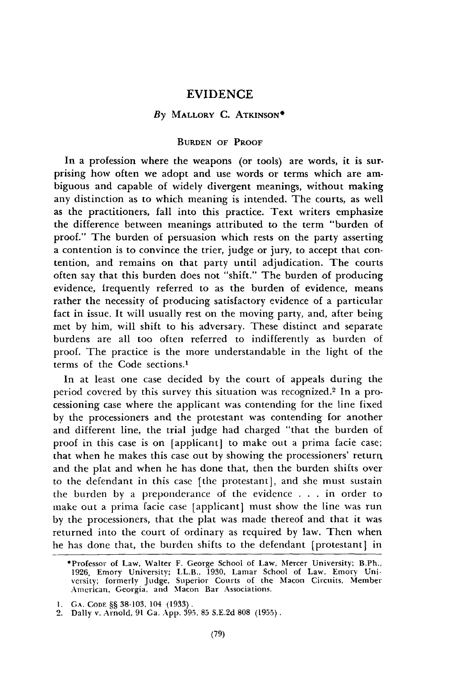# EVIDENCE

# *By* MALLORY **C. ATKINSON\***

## **BURDEN OF PROOF**

In a profession where the weapons (or tools) are words, it is surprising how often we adopt and use words or terms which are ambiguous and capable of widely divergent meanings, without making any distinction as to which meaning is intended. The courts, as well as the practitioners, fall into this practice. Text writers emphasize the difference between meanings attributed to the term "burden of proof." The burden of persuasion which rests on the party asserting a contention is to convince the trier, judge or jury, to accept that contention, and remains on that party until adjudication. The courts often say that this burden does not "shift." The burden of producing evidence, frequently referred to as the burden of evidence, means rather the necessity of producing satisfactory evidence of a particular fact in issue. It will usually rest on the moving party, and, after being met **by** him, will shift to his adversary. These distinct and separate burdens are all too often referred to indifferently as burden of proof. The practice is the more understandable in the light of the terms of the Code sections.'

In at least one case decided **by** the court of appeals during the period covered **by** this survey this situation was recognized. 2 In a processioning case where the applicant was contending for the line fixed by the processioners and the protestant was contending for another and different line, the trial judge had charged "that the burden **of** proof in this case is on [applicant] to make out a prima facie case; that when he makes this case out **by** showing the processioners' returrn and the plat and when he has done that, then the burden shifts over to the defendant in this case [the protestant], and she must sustain the burden **by** a preponderance of the evidence **. . .** in order to make out a prima facie case [applicant] must show the line was run **by** the processioners, that the plat was made thereof and that it was returned into the court of ordinary as required **by** law. Then when he has done that, the burden shifts to the defendant [protestant] in

<sup>\*</sup>Professor of Law, Walter F. George School of Law, Mercer University; B.Ph. 1926, Emory University; LL.B., **1930,** Lamar School of Law, Emory University; formerly Judge, Superior Courts of the Macon Circuits, Member American, Georgia, and Macon Bar Associations.

**<sup>1.</sup> GA.** CoDE §§ 38-103, 104 (1933). 2. Dally v. Arnold, 91 Ga. App. 395, 85 S.E.2d 808 (1955).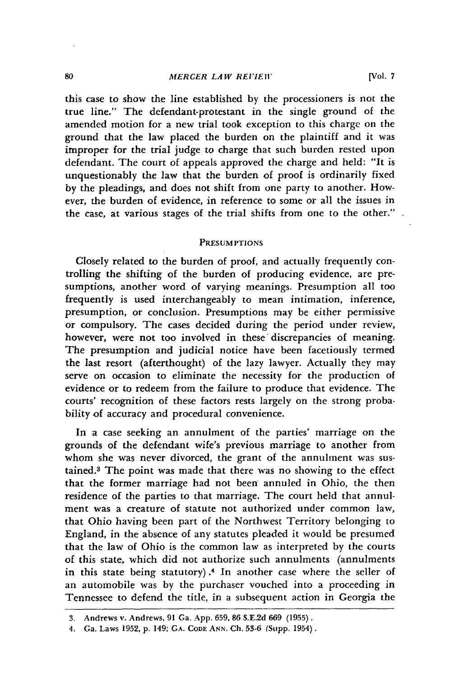#### *MERCER LAW REVIEW*

this case to show the line established by the processioners is not the true line." The defendant-protestant in the single ground of the amended motion for a new trial took exception to this charge on the ground that the law placed the burden on the plaintiff and it was improper for the trial judge to charge that such burden rested upon defendant. The court of appeals approved the charge and held: "It is unquestionably the law that the burden of proof is ordinarily fixed by the pleadings, and does not shift from one party to another. However, the burden of evidence, in reference to some or all the issues in the case, at various stages of the trial shifts from one to the other."

### **PRESUMPTIONS**

Closely related to the burden of proof, and actually frequently controlling the shifting of the burden of producing evidence, are presumptions, another word of varying meanings. Presumption all too frequently is used interchangeably to mean intimation, inference, presumption, or conclusion. Presumptions may be either permissive or compulsory. The cases decided during the period under review, however, were not too involved in these' discrepancies of meaning. The presumption and judicial notice have been facetiously termed the last resort (afterthought) of the lazy lawyer. Actually they may serve on occasion to eliminate the necessity for the production of evidence or to redeem from the failure to produce that evidence. The courts' recognition of these factors rests largely on the strong probability of accuracy and procedural convenience.

In a case seeking an annulment of the parties' marriage on the grounds of the defendant wife's previous marriage to another from whom she was never divorced, the grant of the annulment was sustained.3 The point was made that there was no showing to the effect that the former marriage had not been annuled in Ohio, the then residence of the parties to that marriage. The court held that annulment was a creature of statute not authorized under common law, that Ohio having been part of the Northwest Territory belonging to England, in the absence of any statutes pleaded it would be presumed that the law of Ohio is the common law as interpreted **by** the courts of this state, which did not authorize such annulments (annulments in this state being statutory) .4 In another case where the seller of an automobile was **by** the purchaser vouched into a proceeding in Tennessee to defend the title, in a subsequent action in Georgia the

<sup>3.</sup> Andrews **v.** Andrews, **91** Ga. App. 659, 86 S.E.2d 669 (1955).

<sup>4.</sup> Ga. Laws 1952, p. 149; **GA. CODE ANN.** Ch. 53-6 (Supp. 1954).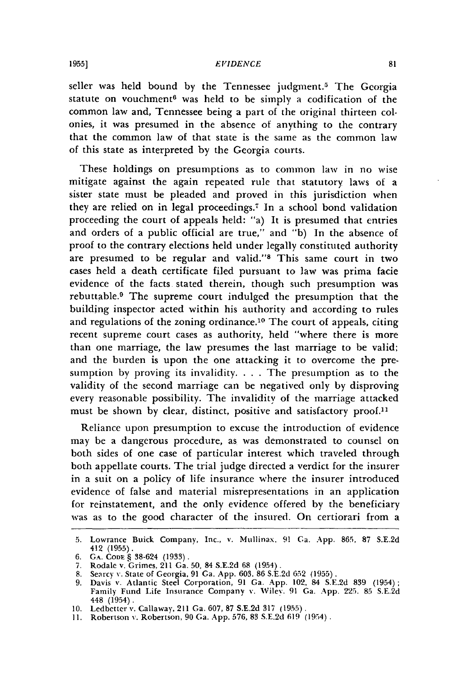#### *EVIDENCE*

seller was held bound by the Tennessee judgment.<sup>5</sup> The Georgia statute on vouchment<sup>6</sup> was held to be simply a codification of the common law and, Tennessee being a part of the original thirteen colonies, it was presumed in the absence of anything to the contrary that the common law of that state is the same as the common law of this state as interpreted by the Georgia courts.

These holdings on presumptions as to common law in no wise mitigate against the again repeated rule that statutory laws of a sister state must be pleaded and proved in this jurisdiction when they are relied on in legal proceedings.<sup>7</sup> In a school bond validation proceeding the court of appeals held: "a) It is presumed that entries and orders of a public official are true," and "b) In the absence of proof to the contrary elections held under legally constituted authority are presumed to be regular and valid."8 This same court in two cases held a death certificate filed pursuant to law was prima facie evidence of the facts stated therein, though such presumption was rebuttable.<sup>9</sup> The supreme court indulged the presumption that the building inspector acted within his authority and according to rules and regulations of the zoning ordinance.<sup>10</sup> The court of appeals, citing recent supreme court cases as authority, held "where there is more than one marriage, the law presumes the last marriage to be valid; and the burden is upon the one attacking it to overcome the presumption by proving its invalidity. . **.** . The presumption as to the validity of the second marriage can be negatived only by disproving every reasonable possibility. The invalidity of the marriage attacked must be shown by clear, distinct, positive and satisfactory proof.<sup>11</sup>

Reliance upon presumption to excuse the introduction of evidence may be a dangerous procedure, as was demonstrated to counsel on both sides of one case of particular interest which traveled through both appellate courts. The trial judge directed a verdict for the insurer in a suit on a policy of life insurance where the insurer introduced evidence of false and material misrepresentations in an application for reinstatement, and the only evidence offered by the beneficiary was as to the good character of the insured. On certiorari from a

<sup>5.</sup> Lowrance Buick Company, Inc., v. Mullinax, 91 Ca. **App. 865, 87** S.E.2d 412 (1955).

<sup>6.</sup> **GA. CODE** § 38-624 (1933).

<sup>7.</sup> Rodale v. Grimes, 211 Ga. 50, 84 S.E.2d 68 (1954). **8.** Searcy v. State of Georgia, 91 Ga. App. 603. 86 S.E.2d 652 (1955). 9. Davis **v.** Atlantic Steel Corporation, 91 Ga. App. 102, 84 S.E.2d 839 (1954);

Family Fund Life Insurance Company **%.** Wiley. 91 Ga. App. 225, 85 S.E.2d 448 (1954).

<sup>10.</sup> Ledbetter v. Callaway, 211 Ga. 607, 87 S.E.2d 317 (1955).

<sup>11.</sup> Robertson **%.** Robertson, 90 Ga. App. 576, 83 S.E.2d **619** (1954).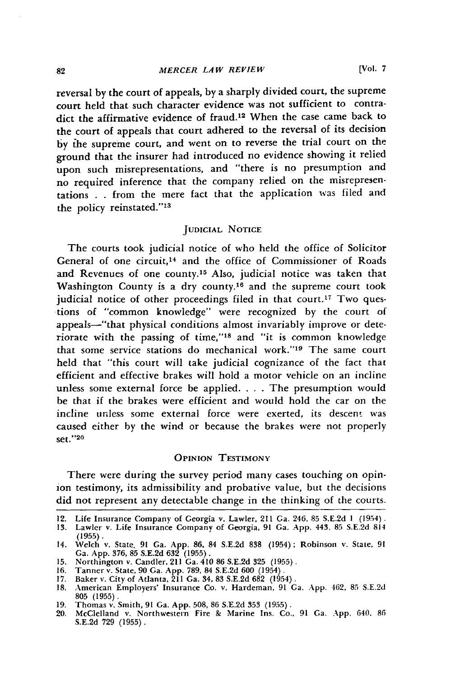reversal **by** the court of appeals, **by** a sharply divided court, the supreme court held that such character evidence was not sufficient to contradict the affirmative evidence of fraud.<sup>12</sup> When the case came back to the court of appeals that court adhered to the reversal of its decision **by** the supreme court, and went on to reverse the trial court on the ground that the insurer had introduced no evidence showing it relied upon such misrepresentations, and "there is no presumption and no required inference that the company relied on the misrepresentations . . from the mere fact that the application was filed and the policy reinstated."13

## **JUDICIAL NOTICE**

The courts took judicial notice of who held the office of Solicitor General of one circuit, 14 and the office of Commissioner of Roads and Revenues of one county.<sup>15</sup> Also, judicial notice was taken that Washington County is a dry county.<sup>16</sup> and the supreme court took judicial notice of other proceedings filed in that court.<sup>17</sup> Two questions of "common knowledge" were recognized by the court of appeals-"that physical conditions almost invariably improve or deteriorate with the passing of time,"<sup>18</sup> and "it is common knowledge that some service stations do mechanical work."<sup>19</sup> The same court held that "this court will take judicial cognizance of the fact that efficient and effective brakes will hold a motor vehicle on an incline unless some external force be applied..... The presumption would be that if the brakes were efficient and would hold the car on the incline unless some external force were exerted, its descent was caused either by the wind or because the brakes were not properly set." <sup>20</sup>

## **OPINION TESTIMONY**

There were during the survey period many cases touching on opinion testimony, its admissibility and probative value, but the decisions did not represent any detectable change in the thinking of the courts.

<sup>12.</sup> Life Insurance Company of Georgia v. Lawler, 211 Ga. 246, 85 S.E.2d **1** (1954).

<sup>13.</sup> Lawler v. Life Insurance Company of Georgia, 91 Ga. App. 443, 85 S.E.2d 81  $(1955)$ .

<sup>14.</sup> Welch v. State, 91 Ga. App. 86, 84 S.E.2d 838 (1954); Robinson v. State, 91 Ga. App. 376, 85 S.E.2d **632** (1955). **15.** Northington v. Candler, 211 Ga. 410 86 S.E.2d 325 (1955).

<sup>16.</sup> Tanner v. State, 90 Ga. App. 789, 84 S.E.2d 600 (1954). 17. Baker v. City of Atlanta, 211 Ga. 34, 83 S.E.2d 682 (1954).

<sup>18.</sup> American Employers' Insurance Co. v. Hardeman, 91 Ga. App. 462, 85 S.E.2d **805** (1955).

<sup>19.</sup> Thomas v. Smith, 91 Ga. App. 508, 86 S.E.2d 353 (1955).

<sup>20.</sup> McClelland v. Northwestern Fire **&** Marine Ins. Co., 91 Ga. App. 640, 86 S.E.2d 729 (1955).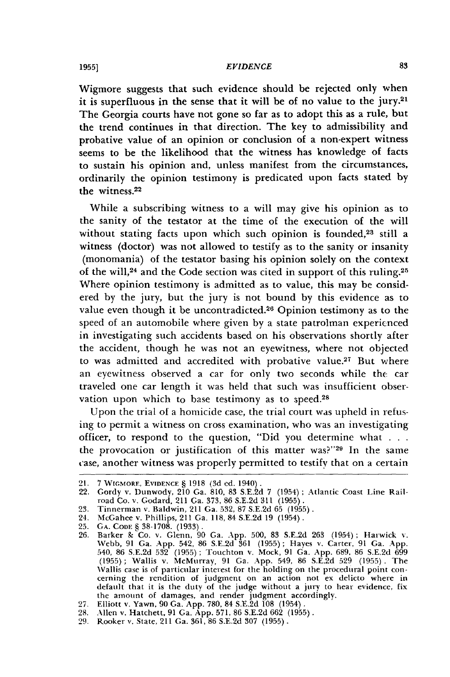Wigmore suggests that such evidence should be rejected only when it is superfluous in the sense that it will be of no value to the jury. $21$ The Georgia courts have not gone so far as to adopt this as a rule, but the trend continues in that direction. The key to admissibility and probative value of an opinion or conclusion of a non-expert witness seems to be the likelihood that the witness has knowledge of facts to sustain his opinion and, unless manifest from the circumstances, ordinarily the opinion testimony is predicated upon facts stated **by** the witness.22

While a subscribing witness to a will may give his opinion as to the sanity of the testator at the time of the execution of the will without stating facts upon which such opinion is founded,<sup>23</sup> still a witness (doctor) was not allowed to testify as to the sanity or insanity (monomania) of the testator basing his opinion solely on the context of the will,<sup>24</sup> and the Code section was cited in support of this ruling.<sup>25</sup> Where opinion testimony is admitted as to value, this may be considered **by** the jury, but the jury is not bound **by** this evidence as to value even though it be uncontradicted.<sup>26</sup> Opinion testimony as to the speed of an automobile where given **by** a state patrolman expericnced in investigating such accidents based on his observations shortly after the accident, though he was not an eyewitness, where not objected to was admitted and accredited with probative value.<sup>27</sup> But where an eyewitness observed a car for only two seconds while the car traveled one car length it was held that such was insufficient observation upon which to base testimony as to speed.<sup>28</sup>

Upon the trial of a homicide case, the trial court was upheld in refusing to permit a witness on cross examination, who was an investigating officer, to respond to the question, "Did you determine what . . . the provocation or justification of this matter was?"<sup>29</sup> In the same case, another witness was properly permitted to testify that on a certain

<sup>21.</sup> **7** WcGMORF, EVIDENCE § **1918 (3d ed.** 1940).

<sup>22.</sup> Gordy v. Dunwody, 210 Ga. **810, 83 S.E.2d 7** (1954) ; Atlantic Coast Line Rail-road Co. v. Godard, 211 Ga. **373, 86 S.E.2d 311 (1955).**

**<sup>23.</sup>** Tinnerman v. Baldwin, 211 Ga. 532, **87 S.E.2d 65 (1955).**

<sup>24.</sup> McGahee v. Phillips, 211 Ga. **118,84 S.E.2d 19** (1954).

<sup>25.</sup> GA. CODE § 38-1708. (1933).<br>26. Barker & Co. v. Glenn, 90 Ga. App. 500, 83 S.E.2d 263 (1954); Harwick v.<br>Webb, 91 Ga. App. 542, 86 S.E.2d 361 (1955); Hayes v. Carter, 91 Ga. App. **540, 86 S.E.2d** 532 (1955); Touchton v. Mock, **91** Ga. **App. 689, 86 S.E.2d 699 (1955)** ; Wallis v. McMurray, **91** Ga. **App.** 549, **86 S.E.2d 529 (1955) .** The Wallis case is of particular interest for the holding on the procedural point concerning the rendition of judgment on an action not ex delicto where in default that it is the duty of the **judge** without a jury to hear evidence, fix the amount of damages, and render judgment accordingly.

**<sup>27.</sup>** Elliott v. Yawn, **90** Ga. **App. 780,** 84 **S.E.2d 108** (1954). **28.** Allen v. Hatchett, **91** Ga. **App. 571, 86 S.E.2d 662 (1955).**

**<sup>29.</sup>** Rooker v. State, 211 Ga. **361, 86 S.E.2d 307 (1955).**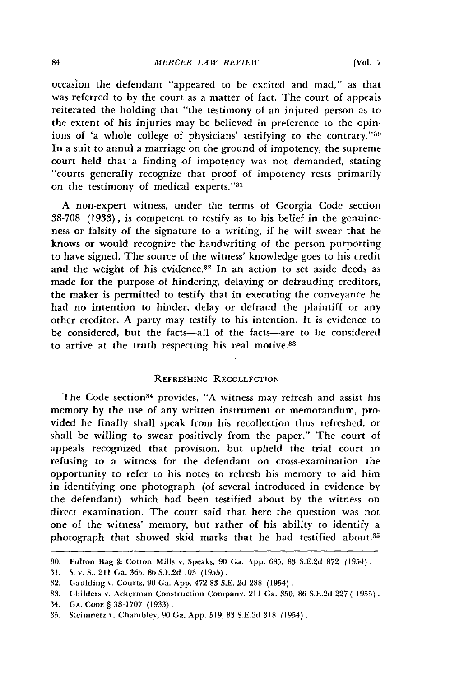### *MERCER LA W REVIEW*

occasion the defendant "appeared to be excited and mad," as that was referred to by the court as a matter of fact. The court of appeals reiterated the holding that "the testimony of an injured person as to the extent of his injuries may be believed in preference to the opinions of 'a whole college of physicians' testifying to the contrary."30 In a suit to annul a marriage on the ground of impotency, the supreme court held that a finding of impotency was not demanded, stating "courts generally recognize that proof of impotency rests primarily on the testimony of medical experts."31

A non-expert witness, under the terms of Georgia Code section 38-708 (1933), is competent to testify as to his belief in the genuineness or falsity of the signature to a writing, if he will swear that he knows or would recognize the handwriting of the person purporting to have signed. The source of the witness' knowledge goes to his credit and the weight of his evidence.<sup>32</sup> In an action to set aside deeds as made for the purpose of hindering, delaying or defrauding creditors, the maker is permitted to testify that in executing the conveyance he had no intention to hinder, delay or defraud the plaintiff or any other creditor. A party may testify to his intention. It is evidence to be considered, but the facts-all of the facts-are to be considered to arrive at the truth respecting his real motive.<sup>33</sup>

# REFRESHING RECOLLECTION

The Code section<sup>34</sup> provides, "A witness may refresh and assist his memory by the use of any written instrument or memorandum, provided he finally shall speak from his recollection thus refreshed, or shall be willing to swear positively from the paper." The court of appeals recognized that provision, but upheld the trial court in refusing to a witness for the defendant on cross-examination the opportunity to refer to his notes to refresh his memory to aid him in identifying one photograph (of several introduced in evidence by the defendant) which had been testified about by the witness on direct examination. The court said that here the question was not one of the witness' memory, but rather of his ability to identify a photograph that showed skid marks that he had testified about.<sup>35</sup>

<sup>30.</sup> Fulton Bag & Cotton Mills v. Speaks, 90 Ga. App. 685, 83 S.E.2d 872 (1954).

<sup>31.</sup> S. v. **S..** 211 Ga. 365, 86 S.E.2d 103 (1955).

<sup>32.</sup> Gaulding v. Courts, 90 Ga. App. 472 83 S.E. 2d 288 (1954).

<sup>33.</sup> Childers **v.** Ackerman Construction Company, 211 Ga. 350, 86 S.E.2d 227 **(** 1955).

<sup>34.</sup> **GA. CODE § 38-1707 (1933).** 

<sup>35.</sup> Stcinmetz **x.** Chambley, 90 Ga. App. 519, 83 S.E.2d 318 (1954).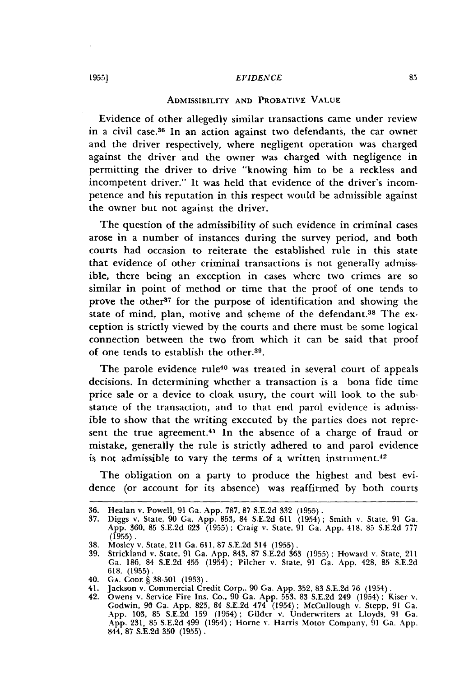#### *E VIDENCE*

# ADMISSIBILITY **AND** PROBATIVE **VALUE**

Evidence of other allegedly similar transactions came under review in a civil case.<sup>36</sup> In an action against two defendants, the car owner and the driver respectively, where negligent operation was charged against the driver and the owner was charged with negligence in permitting the driver to drive "knowing him to be a reckless and incompetent driver." It was held that evidence of the driver's incompetence and his reputation in this respect would be admissible against the owner but not against the driver.

The question of the admissibility of such evidence in criminal cases arose in a number of instances during the survey period, and both courts had occasion to reiterate the established rule in this state that evidence of other criminal transactions is not generally admissible, there being an exception in cases where two crimes are so similar in point of method or time that the proof of one tends to prove the other<sup>37</sup> for the purpose of identification and showing the state of mind, plan, motive and scheme of the defendant.<sup>38</sup> The exception is strictly viewed **by** the courts and there must be some logical connection between the two from which it can be said that proof of one tends to establish the other.39.

The parole evidence rule<sup>40</sup> was treated in several court of appeals decisions. In determining whether a transaction is a bona fide time price sale or a device to cloak usury, the court will look to the substance of the transaction, and to that end parol evidence is admissible to show that the writing executed **by** the parties does not represent the true agreement.<sup>41</sup> In the absence of a charge of fraud or mistake, generally the rule is strictly adhered to and parol evidence is not admissible to vary the terms of a written instrument.<sup>42</sup>

The obligation on a party to produce the highest and best evidence (or account for its absence) was reaffirmed **by** both courts

**<sup>36.</sup>** Healan v. Powell, **91** Ga. **App. 787, 87 S.E.2d 332 (1955).**

<sup>37.</sup> Diggs v. State, 90 Ga. App. 853, 84 S.E.2d 611 (1954); Smith v. State, 91 Ga. App. 360, 85 S.E.2d 623 (1955); Craig v. State, 91 Ga. App. 418, 85 S.E.2d 777  $(1955)$ .

<sup>38.</sup> Mosley v. State, 211 Ga. 611, 87 S.E.2d 314 (1955).

<sup>39.</sup> Strickland v. State, 91 Ga. App. 843, 87 S.E.2d 363 (1955) **;** Howard v. State, 211 Ga. 186, 84 S.E.2d 455 (1954) **;** Pilcher **v.** State, 91 Ga. App. 428, 85 S.E.2d **618.** (1955).

<sup>40.</sup> **GA. CODE** § 38-501 (1933).

<sup>41.</sup> Jackson v. Commercial Credit Corp., 90 Ga. App. 352, 83 S.E.2d 76 (1954).

<sup>42.</sup> Owens v. Service Fire Ins. Co., 90 Ga. App. 553, 83 S.E.2d 249 (1954) ; Kiser v. Godwin, **90** Ga. App. 825, 84 S.E.2d 474 (1954); McCullough v. Stepp, 91 Ga. App. 103, 85 S.E.2d 159 (1954); Gilder v. Underwriters at Lloyds, 91 Ga. App. 231, 85 S.E.2d 499 (1954); Horne v. Harris Motor Company, 91 Ga. App. 844, 87 S.E.2d 350 (1955).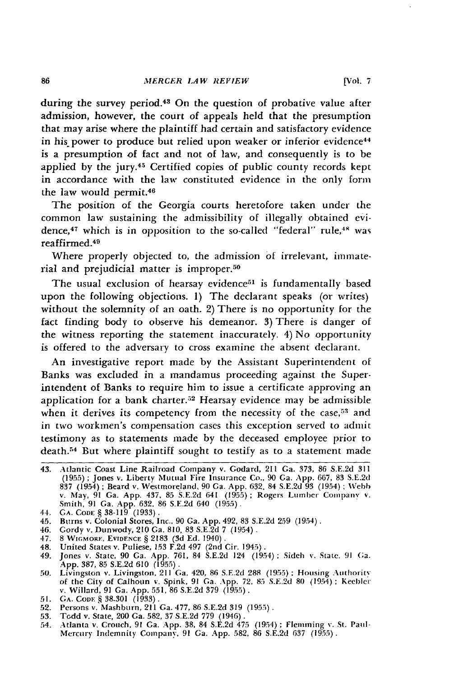during the survey period.<sup>43</sup> On the question of probative value after admission, however, the court of appeals held that the presumption that may arise where the plaintiff had certain and satisfactory evidence in his power to produce but relied upon weaker or inferior evidence<sup>44</sup> is a presumption of fact and not of law, and consequently is to be applied **by** the jury.45 Certified copies of public county records kept in accordance with the law constituted evidence in the only form the law would permit.<sup>46</sup>

The position of the Georgia courts heretofore taken under the common law sustaining the admissibility of illegally obtained evidence,<sup>47</sup> which is in opposition to the so-called "federal" rule,<sup>48</sup> was reaffirmed. <sup>49</sup>

Where properly objected to, the admission of irrelevant, **immate**rial and prejudicial matter is improper.50

The usual exclusion of hearsay evidence<sup>51</sup> is fundamentally based upon the following objections. **1)** The declarant speaks (or writes) without the solemnity of an oath. 2) There is no opportunity for the fact finding body to observe his demeanor. **3)** There is danger of the witness reporting the statement inaccurately. 4) No opportunity is offered to the adversary to cross examine the absent declarant.

An investigative report made **by** the Assistant Superintendent of Banks was excluded in a mandamus proceeding against the Superintendent of Banks to require him to issue a certificate approving an application for a bank charter. $52$  Hearsay evidence may be admissible when it derives its competency from the necessity of the case,<sup>53</sup> and in two workmen's compensation cases this exception served to admit testimony as to statements made **by** the deceased employee prior to death.<sup>54</sup> But where plaintiff sought to testify as to a statement made

- 46. Gordy **v.** Dunwody, 210 Ga. **810, 83 S.E.2d 7** (1954).
- 47. **8 WiC,MORE, EVIDENCE § 2183 (3d Ed.** 1940).
- 48. United States v. Puliese, **153 F.2d** 497 (2nd Cir. 1945).
- 49. Jones v. State, 90 Ga. App. 761, 84 S.E.2d 124 (1954); Sideh v. State, 91 Ga. App. 387, 85 S.E.2d 610 (1955).<br>50. Livingston v. Livingston, 211 Ga. 420, 86 S.E.2d 288 (1955); Housing Authority
- of the City of Calhoun v. Spink, **91** Ga. **App. 72, 85 S.E.2d 80** (1954) **; Keeblci** v. Willard, **91** Ga. **App. 551, 86 S.E.2d 379 (1955).**
- **51. GA. CoDE§38-301 (1933).**
- **52.** Persons v. Mashburn, 211 Ga. **477, 86 S.E.2d 319 (1955).**
- **53. TGdd** v. State, 200 Ga. **582, 37 S.E.2d 779** (1946).
- 54. Atlanta v. Crouch, **91** Ga. **App. 38,** 84 **S.E.2d** 475 (1954) **;** Flemming **v.** St. Paul-Mercury Indemnity Company, **91** Ga. **App. 582, 86 S.E.2d 637 (1955).**

<sup>43.</sup> Atlantic Coast Line Railroad Company v. Godard, 211 Ga. **373, 86 S.E.2d 311** (1955); Jones v. Liberty Mutual Fire Insurance Co., 90 Ga. App. 667, 83 S.E.2d<br>837 (1954); Beard v. Westmoreland, 90 Ga. App. 632, 84 S.E.2d 93 (1954); Webb<br>v. May, 91 Ga. App. 437, 85 S.E.2d 641 (1955); Rogers Lumber Comp Smith, **91** Ga. **App. 632, 86 S.E.2d** 640 **(1955).**

**<sup>44.</sup> GA. CODE § 38-119 (1933).**

<sup>45.</sup> B'rns v. Colonial Stores, Inc., **90** Ga. **App.** 492, **83 S.E.2d 259** (1954).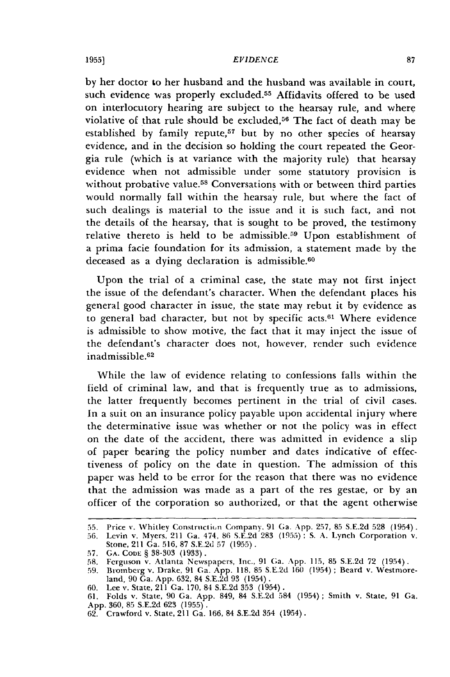#### **1955]** *EVIDENCE*

by her doctor to her husband and the husband was available in court, such evidence was properly excluded.<sup>55</sup> Affidavits offered to be used on interlocutory hearing are subject to the hearsay rule, and where violative of that rule should be excluded, $56$  The fact of death may be established by family repute,<sup>57</sup> but by no other species of hearsay evidence, and in the decision so holding the court repeated the Georgia rule (which is at variance with the majority rule) that hearsay evidence when not admissible under some statutory provision is without probative value.<sup>58</sup> Conversations with or between third parties would normally fall within the hearsay rule, but where the fact of such dealings is material to the issue and it is such fact, and not the details of the hearsay, that is sought to be proved, the testimony relative thereto is held to be admissible.<sup>59</sup> Upon establishment of a prima facie foundation for its admission, a statement made by the deceased as a dying declaration is admissible.<sup>60</sup>

Upon the trial of a criminal case, the state may not first inject the issue of the defendant's character. When the defendant places his general good character in issue, the state may rebut it by evidence as to general bad character, but not by specific acts.<sup>61</sup> Where evidence is admissible to show motive, the fact that it may inject the issue of the defendant's character does not, however, render such evidence inadmissible. <sup>62</sup>

While the law of evidence relating to confessions falls within the field of criminal law, and that is frequently true as to admissions, the latter frequently becomes pertinent in the trial of civil cases. In a suit on an insurance policy payable upon accidental injury where the determinative issue was whether or not the policy was in effect on the date of the accident, there was admitted in evidence a slip of paper bearing the policy number and dates indicative of effectiveness of policy on the date in question. The admission of this paper was held to be error for the reason that there was no evidence that the admission was made as a part of the res gestae, or by an officer of the corporation so authorized, or that the agent otherwise

<sup>55.</sup> Price v. Whitley Constroction Company. 91 Ga. App. 257, 85 S.E.2d 528 (1954).

<sup>56.</sup> Levin v. Myers, 211 Ga. 474, 86 S.E.2d 283 (1955); S. A. Lynch Corporation v. Stone, 211 Ga. 516, 87 S.E.2d 57 (1955).

<sup>57.</sup> **GA. CODE § 38-303 (1933).** 

<sup>58.</sup> Ferguson v. Atlanta Newspapers, Inc., 91 Ga. App. 115, 85 S.E.2d 72 (1954). 59. Bromberg v. Drake, 91 Ga. App. 118, 85 S.E.2d 160 (1954) ; Beard v. Westmore-

land, 90 Ga. App. 632, 84 S.E.2d 93 (1954).

<sup>60.</sup> Lee **v.** State, 211 Ga. 170, 84 S.E.2d 353 (1954).

<sup>61.</sup> Folds v. State, 90 Ga. App. 849, 84 S.E.2d 584 (1954); Smith v. State, 91 Ga. App. 360, 85 S.E.2d 623 (1955).

<sup>62.</sup> Crawford v. State, 211 Ga. 166, 84 S.E.2d 354 (1954).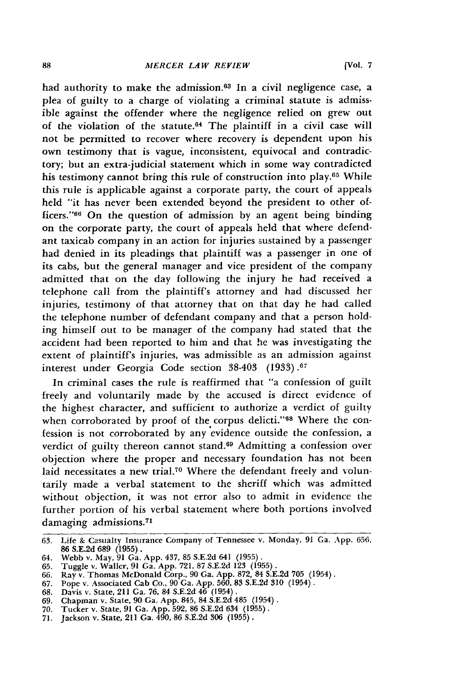had authority to make the admission.<sup>63</sup> In a civil negligence case, a plea of guilty to a charge of violating a criminal statute is admissible against the offender where the negligence relied on grew out of the violation of the statute. $64$  The plaintiff in a civil case will not be permitted to recover where recovery is dependent upon his own testimony that is vague, inconsistent, equivocal and contradictory; but an extra-judicial statement which in some way contradicted his testimony cannot bring this rule of construction into play.65 While this rule is applicable against a corporate party, the court of appeals held "it has never been extended beyond the president to other officers."<sup>66</sup> On the question of admission by an agent being binding on the corporate party, the court of appeals held that where defendant taxicab company in an action for injuries sustained by a passenger had denied in its pleadings that plaintiff was a passenger in one of its cabs, but the general manager and vice president of the company admitted that on the day following the injury he had received a telephone call from the plaintiff's attorney and had discussed her injuries, testimony of that attorney that on that day he had called the telephone number of defendant company and that a person holding himself out to be manager of the company had stated that the accident had been reported to him and that he was investigating the extent of plaintiff's injuries, was admissible as an admission against interest under Georgia Code section **38-403** (1933).67

In criminal cases the rule is reaffirmed that "a confession of guilt freely and voluntarily made by the accused is direct evidence of the highest character, and sufficient to authorize a verdict of guilty when corroborated by proof of the corpus delicti."<sup>68</sup> Where the confession is not corroborated by any evidence outside the confession, a verdict of guilty thereon cannot stand.<sup>69</sup> Admitting a confession over objection where the proper and necessary foundation has not been laid necessitates a new trial.<sup>70</sup> Where the defendant freely and voluntarily made a verbal statement to the sheriff which was admitted without objection, it was not error also to admit in evidence the further portion of his verbal statement where both portions involved damaging admissions.<sup>71</sup>

69. Chapman v. State, 90 Ga. App. 845, 84 S.E.2d 485 (1954). 70. Tucker v. State, 91 Ga. App. 592, 86 S.E.2d 634 (1955).

**<sup>63.</sup>** Life & Casualty Insurance Company of Tennessee v. Monday, 91 Ga. App. 656, 86 S.E.2d 689 (1955). 64. Webb v. May, 91 Ga. App. 437, 85 S.E.2d 641 (1955).

<sup>65.</sup> Tuggle v. Waller, 91 Ga. App. 721, 87 S.E.2d 123 (1955).

<sup>66.</sup> Ray v. Thomas McDonald Corp., 90 Ga. App. 872, 84 S.E.2d 705 (1954). 67. Pope v. Associated Cab Co., 90 **Ga,** App. 560, 83 S.E.2d 310 (1954).

<sup>68.</sup> Davis v. State, 211 Ga. 76, 84 S.E.2d 46 (1954).

<sup>71.</sup> Jackson v. State, 211 Ga. 490, 86 S.E.2d 306 (1955).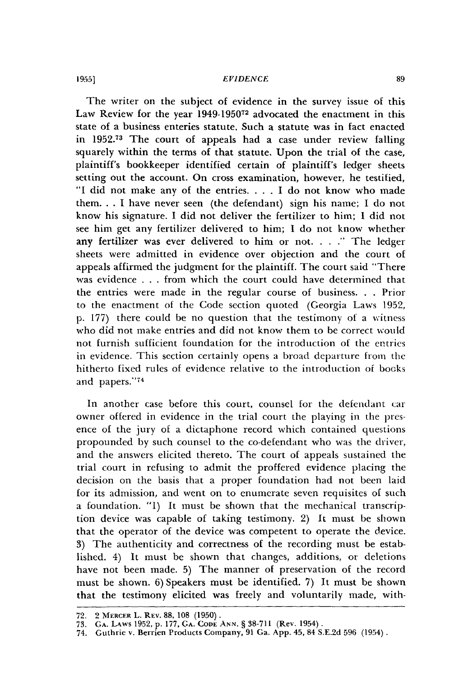#### *EVIDENCE*

The writer on the subject of evidence in the survey issue of this Law Review for the year **1949-195072** advocated the enactment in this state of a business enteries statute. Such a statute was in fact enacted in **1952. <sup>73</sup>**The court of appeals had a case under review falling squarely within the terms of that statute. Upon the trial of the case, plaintiff's bookkeeper identified certain of plaintiff's ledger sheets setting out the account. On cross examination, however, he testified, "I did not make any of the entries **....** I do not know who made them. **.** . I have never seen (the defendant) sign his name; I do not know his signature. I did not deliver the fertilizer to him; I did not see him get any fertilizer delivered to him; I do not know whether any fertilizer was ever delivered to him or not .... **."** The ledger sheets were admitted in evidence over objection and the court of appeals affirmed the judgment for the plaintiff. The court said "There was evidence . . . from which the court could have determined that the entries were made in the regular course of business. **.** . Prior to the enactment of the Code section quoted (Georgia Laws 1952, p. 177) there could be no question that the testimony of a witness who did not make entries and did not know them to be correct would not furnish sufficient foundation for the introduction of the entries in evidence. This section certainly opens a broad departure from the hitherto fixed rules of evidence relative to the introduction of books and papers."74

In another case before this court, counsel for the defendant car owner offered in evidence in the trial court the playing in the presence of the jury of a dictaphone record which contained questions propounded by such counsel to the co-defendant who was the driver, and the answers elicited thereto. The court of appeals sustained the trial court in refusing to admit the proffered evidence placing the decision on the basis that a proper foundation had not been laid for its admission, and went on to enumerate seven requisites of such a foundation. "1) It must be shown that the mechanical transcription device was capable of taking testimony. 2) It must be shown that the operator of the device was competent to operate the device. 3) The authenticity and correctness of the recording must be established. 4) It must be shown that changes, additions, or deletions have not been made. 5) The manner of preservation of the record must be shown. 6) Speakers must be identified. 7) It must be shown that the testimony elicited was freely and voluntarily made, with-

**19551**

<sup>72. – 2</sup> MERCER L. REV. 88, 108 (1950)<br>73. – Ga. Laws 1952, p. 177, Ga. Code Ann. § 38-711 (Rev. 1954)<br>74. – Guthrie v. Berrien Products Company, 91 Ga. App. 45, 84 S.E.2d 596 (1954)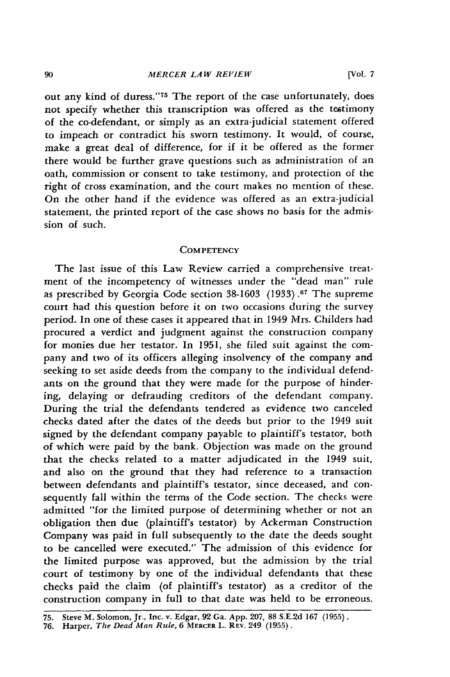out any kind of duress."<sup>75</sup> The report of the case unfortunately, does not specify whether this transcription was offered as the testimony of the co-defendant, or simply as an extra-judicial statement offered to impeach or contradict his sworn testimony. It would, of course, make a great deal of difference, for if it be offered as the former there would be further grave questions such as administration of an oath, commission or consent to take testimony, and protection of the right of cross examination, and the court makes no mention of these. On the other hand if the evidence was offered as an extra-judicial statement, the printed report of the case shows no basis for the admission of such.

## **COMPETENCY**

The last issue of this Law Review carried a comprehensive treatment of the incompetency of witnesses under the "dead man" rule as prescribed **by** Georgia Code section **38-1603 (1933).67** The supreme court had this question before it on two occasions during the survey period. In one of these cases it appeared that in 1949 Mrs. Childers had procured a verdict and judgment against the construction company for monies due her testator. In **1951,** she filed suit against the company and two of its officers alleging insolvency of the company and seeking to set aside deeds from the company to the individual defendants on the ground that they were made for the purpose of hindering, delaying or defrauding creditors of the defendant company. During the trial the defendants tendered as evidence two canceled checks dated after the dates of the deeds but prior to the 1949 suit signed **by** the defendant company payable to plaintiff's testator, both of which were paid **by** the bank. Objection was made on the ground that the checks related to a matter adjudicated in the 1949 suit, and also on the ground that they had reference to a transaction between defendants and plaintiff's testator, since deceased, and consequently fall within the terms of the Code section. The checks were admitted "for the limited purpose of determining whether or not an obligation then due (plaintiff's testator) **by** Ackerman Construction Company was paid in full subsequently to the date the deeds sought to be cancelled were executed." The admission of this evidence for the limited purpose was approved, but the admission **by** the trial court of testimony **by** one of the individual defendants that these checks paid the claim (of plaintiff's testator) as a creditor of the construction company in full to that date was held to be erroneous.

**<sup>75.</sup>** Steve M. Solomon, Jr., Inc. v. Edgar, **92** Ga. **App. 207, 88 S.E.2d 167 (1955). 76.** Harper, The *Dead Man Rule,* **6 MERCER** L. **REV.** 249 **(1955).**